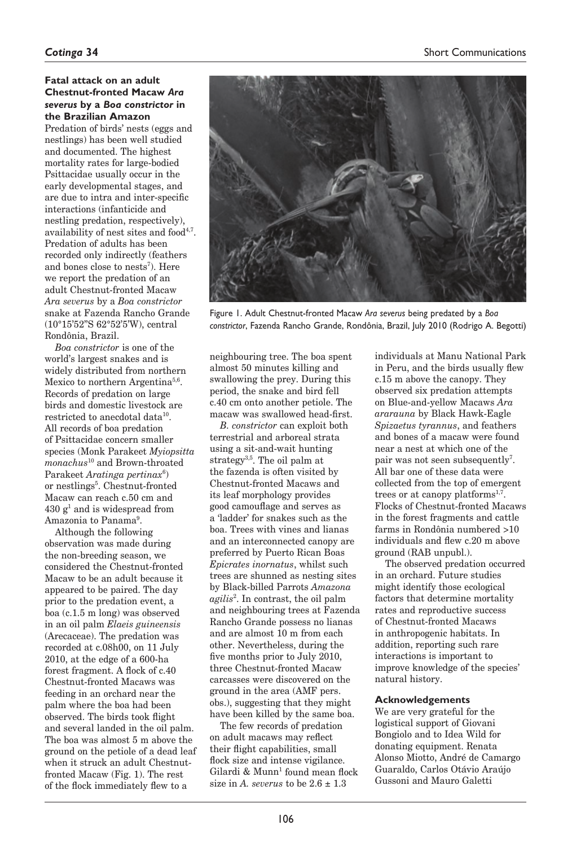## **Fatal attack on an adult Chestnut-fronted Macaw** *Ara severus* **by a** *Boa constrictor* **in the brazilian Amazon**

Predation of birds' nests (eggs and nestlings) has been well studied and documented. The highest mortality rates for large-bodied Psittacidae usually occur in the early developmental stages, and are due to intra and inter-specific interactions (infanticide and nestling predation, respectively), availability of nest sites and food<sup>4,7</sup>. Predation of adults has been recorded only indirectly (feathers and bones close to nests<sup>7</sup>). Here we report the predation of an adult Chestnut-fronted Macaw *Ara severus* by a *Boa constrictor* snake at Fazenda Rancho Grande (10°15'52''S 62°52'5'W), central Rondônia, Brazil.

*Boa constrictor* is one of the world's largest snakes and is widely distributed from northern Mexico to northern Argentina<sup>5,6</sup>. Records of predation on large birds and domestic livestock are restricted to anecdotal data $^{10}$ . All records of boa predation of Psittacidae concern smaller species (Monk Parakeet *Myiopsitta monachus*10 and Brown-throated Parakeet *Aratinga pertinax*<sup>6</sup> ) or nestlings<sup>5</sup>. Chestnut-fronted Macaw can reach c.50 cm and  $430$  g<sup>1</sup> and is widespread from Amazonia to Panama<sup>9</sup>.

Although the following observation was made during the non-breeding season, we considered the Chestnut-fronted Macaw to be an adult because it appeared to be paired. The day prior to the predation event, a boa (c.1.5 m long) was observed in an oil palm *Elaeis guineensis* (Arecaceae). The predation was recorded at c.08h00, on 11 July 2010, at the edge of a 600-ha forest fragment. A flock of c.40 Chestnut-fronted Macaws was feeding in an orchard near the palm where the boa had been observed. The birds took flight and several landed in the oil palm. The boa was almost 5 m above the ground on the petiole of a dead leaf when it struck an adult Chestnutfronted Macaw (Fig. 1). The rest of the flock immediately flew to a



Figure 1. Adult Chestnut-fronted Macaw *Ara severus* being predated by a *Boa constrictor*, Fazenda Rancho Grande, Rondônia, Brazil, July 2010 (Rodrigo A. Begotti)

neighbouring tree. The boa spent almost 50 minutes killing and swallowing the prey. During this period, the snake and bird fell c.40 cm onto another petiole. The macaw was swallowed head-first.

*B. constrictor* can exploit both terrestrial and arboreal strata using a sit-and-wait hunting strategy<sup>3,5</sup>. The oil palm at the fazenda is often visited by Chestnut-fronted Macaws and its leaf morphology provides good camouflage and serves as a 'ladder' for snakes such as the boa. Trees with vines and lianas and an interconnected canopy are preferred by Puerto Rican Boas *Epicrates inornatus*, whilst such trees are shunned as nesting sites by Black-billed Parrots *Amazona agilis*<sup>2</sup> . In contrast, the oil palm and neighbouring trees at Fazenda Rancho Grande possess no lianas and are almost 10 m from each other. Nevertheless, during the five months prior to July 2010, three Chestnut-fronted Macaw carcasses were discovered on the ground in the area (AMF pers. obs.), suggesting that they might have been killed by the same boa.

The few records of predation on adult macaws may reflect their flight capabilities, small flock size and intense vigilance. Gilardi & Munn<sup>1</sup> found mean flock size in *A. severus* to be  $2.6 \pm 1.3$ 

individuals at Manu National Park in Peru, and the birds usually flew c.15 m above the canopy. They observed six predation attempts on Blue-and-yellow Macaws *Ara ararauna* by Black Hawk-Eagle *Spizaetus tyrannus*, and feathers and bones of a macaw were found near a nest at which one of the pair was not seen subsequently<sup>7</sup>. All bar one of these data were collected from the top of emergent trees or at canopy platforms $1,7$ . Flocks of Chestnut-fronted Macaws in the forest fragments and cattle farms in Rondônia numbered >10 individuals and flew c.20 m above ground (RAB unpubl.).

The observed predation occurred in an orchard. Future studies might identify those ecological factors that determine mortality rates and reproductive success of Chestnut-fronted Macaws in anthropogenic habitats. In addition, reporting such rare interactions is important to improve knowledge of the species' natural history.

#### **Acknowledgements**

We are very grateful for the logistical support of Giovani Bongiolo and to Idea Wild for donating equipment. Renata Alonso Miotto, André de Camargo Guaraldo, Carlos Otávio Araújo Gussoni and Mauro Galetti